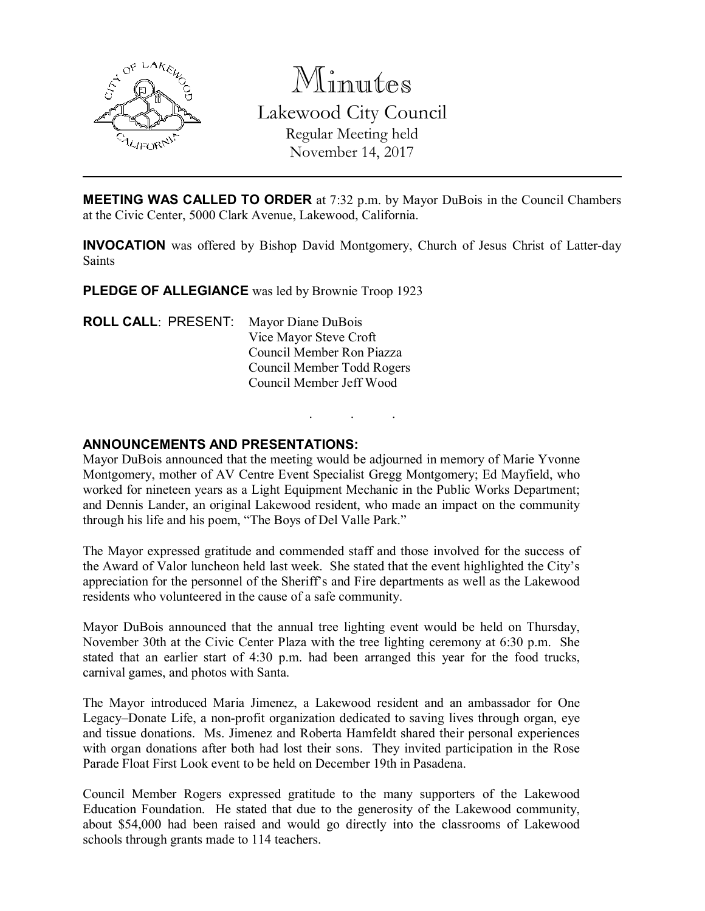

Minutes Lakewood City Council Regular Meeting held November 14, 2017

MEETING WAS CALLED TO ORDER at 7:32 p.m. by Mayor DuBois in the Council Chambers at the Civic Center, 5000 Clark Avenue, Lakewood, California.

INVOCATION was offered by Bishop David Montgomery, Church of Jesus Christ of Latter-day Saints

. . .

PLEDGE OF ALLEGIANCE was led by Brownie Troop 1923

ROLL CALL: PRESENT: Mayor Diane DuBois Vice Mayor Steve Croft Council Member Ron Piazza Council Member Todd Rogers Council Member Jeff Wood

#### ANNOUNCEMENTS AND PRESENTATIONS:

Mayor DuBois announced that the meeting would be adjourned in memory of Marie Yvonne Montgomery, mother of AV Centre Event Specialist Gregg Montgomery; Ed Mayfield, who worked for nineteen years as a Light Equipment Mechanic in the Public Works Department; and Dennis Lander, an original Lakewood resident, who made an impact on the community through his life and his poem, "The Boys of Del Valle Park."

The Mayor expressed gratitude and commended staff and those involved for the success of the Award of Valor luncheon held last week. She stated that the event highlighted the City's appreciation for the personnel of the Sheriff's and Fire departments as well as the Lakewood residents who volunteered in the cause of a safe community.

Mayor DuBois announced that the annual tree lighting event would be held on Thursday, November 30th at the Civic Center Plaza with the tree lighting ceremony at 6:30 p.m. She stated that an earlier start of 4:30 p.m. had been arranged this year for the food trucks, carnival games, and photos with Santa.

The Mayor introduced Maria Jimenez, a Lakewood resident and an ambassador for One Legacy–Donate Life, a non-profit organization dedicated to saving lives through organ, eye and tissue donations. Ms. Jimenez and Roberta Hamfeldt shared their personal experiences with organ donations after both had lost their sons. They invited participation in the Rose Parade Float First Look event to be held on December 19th in Pasadena.

Council Member Rogers expressed gratitude to the many supporters of the Lakewood Education Foundation. He stated that due to the generosity of the Lakewood community, about \$54,000 had been raised and would go directly into the classrooms of Lakewood schools through grants made to 114 teachers.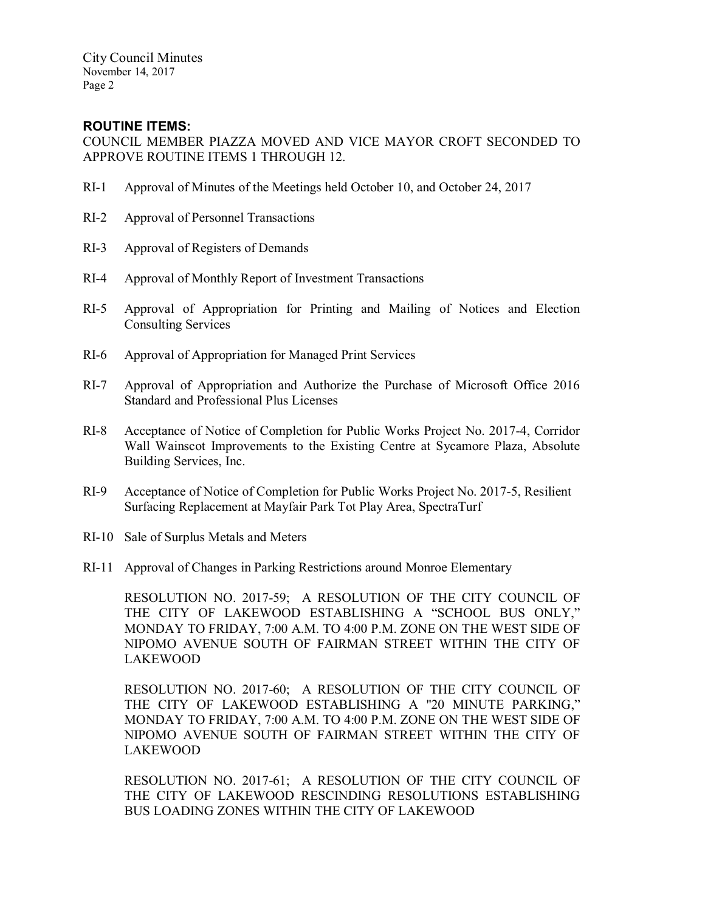# ROUTINE ITEMS:

COUNCIL MEMBER PIAZZA MOVED AND VICE MAYOR CROFT SECONDED TO APPROVE ROUTINE ITEMS 1 THROUGH 12.

- RI-1 Approval of Minutes of the Meetings held October 10, and October 24, 2017
- RI-2 Approval of Personnel Transactions
- RI-3 Approval of Registers of Demands
- RI-4 Approval of Monthly Report of Investment Transactions
- RI-5 Approval of Appropriation for Printing and Mailing of Notices and Election Consulting Services
- RI-6 Approval of Appropriation for Managed Print Services
- RI-7 Approval of Appropriation and Authorize the Purchase of Microsoft Office 2016 Standard and Professional Plus Licenses
- RI-8 Acceptance of Notice of Completion for Public Works Project No. 2017-4, Corridor Wall Wainscot Improvements to the Existing Centre at Sycamore Plaza, Absolute Building Services, Inc.
- RI-9 Acceptance of Notice of Completion for Public Works Project No. 2017-5, Resilient Surfacing Replacement at Mayfair Park Tot Play Area, SpectraTurf
- RI-10 Sale of Surplus Metals and Meters
- RI-11 Approval of Changes in Parking Restrictions around Monroe Elementary

RESOLUTION NO. 2017-59; A RESOLUTION OF THE CITY COUNCIL OF THE CITY OF LAKEWOOD ESTABLISHING A "SCHOOL BUS ONLY," MONDAY TO FRIDAY, 7:00 A.M. TO 4:00 P.M. ZONE ON THE WEST SIDE OF NIPOMO AVENUE SOUTH OF FAIRMAN STREET WITHIN THE CITY OF LAKEWOOD

RESOLUTION NO. 2017-60; A RESOLUTION OF THE CITY COUNCIL OF THE CITY OF LAKEWOOD ESTABLISHING A "20 MINUTE PARKING," MONDAY TO FRIDAY, 7:00 A.M. TO 4:00 P.M. ZONE ON THE WEST SIDE OF NIPOMO AVENUE SOUTH OF FAIRMAN STREET WITHIN THE CITY OF LAKEWOOD

RESOLUTION NO. 2017-61; A RESOLUTION OF THE CITY COUNCIL OF THE CITY OF LAKEWOOD RESCINDING RESOLUTIONS ESTABLISHING BUS LOADING ZONES WITHIN THE CITY OF LAKEWOOD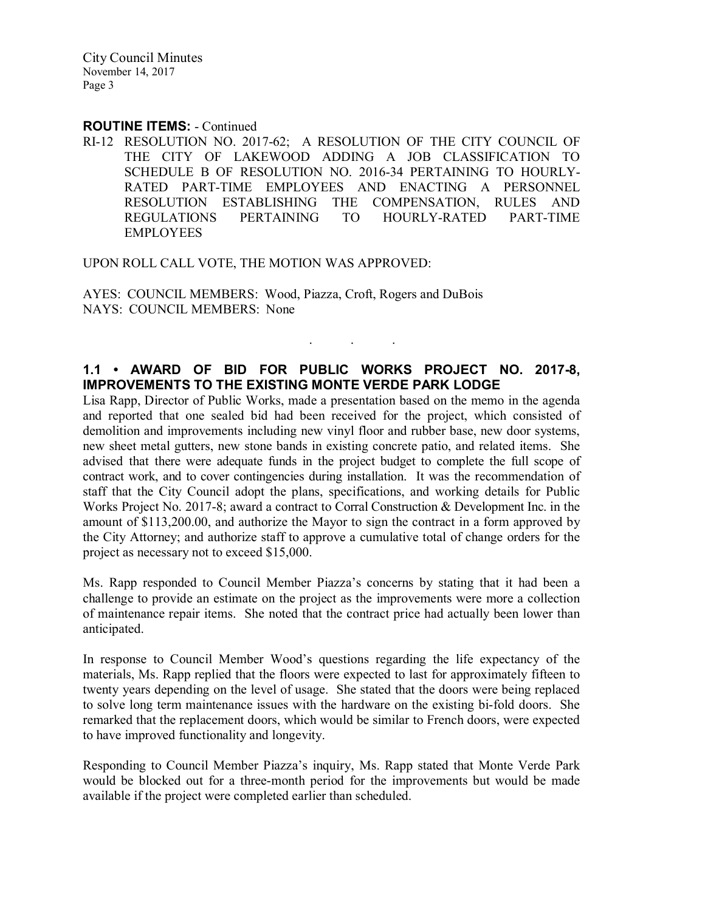#### ROUTINE ITEMS: - Continued

RI-12 RESOLUTION NO. 2017-62; A RESOLUTION OF THE CITY COUNCIL OF THE CITY OF LAKEWOOD ADDING A JOB CLASSIFICATION TO SCHEDULE B OF RESOLUTION NO. 2016-34 PERTAINING TO HOURLY-RATED PART-TIME EMPLOYEES AND ENACTING A PERSONNEL RESOLUTION ESTABLISHING THE COMPENSATION, RULES AND REGULATIONS PERTAINING TO HOURLY-RATED PART-TIME EMPLOYEES

UPON ROLL CALL VOTE, THE MOTION WAS APPROVED:

AYES: COUNCIL MEMBERS: Wood, Piazza, Croft, Rogers and DuBois NAYS: COUNCIL MEMBERS: None

## 1.1 • AWARD OF BID FOR PUBLIC WORKS PROJECT NO. 2017-8, IMPROVEMENTS TO THE EXISTING MONTE VERDE PARK LODGE

. . .

Lisa Rapp, Director of Public Works, made a presentation based on the memo in the agenda and reported that one sealed bid had been received for the project, which consisted of demolition and improvements including new vinyl floor and rubber base, new door systems, new sheet metal gutters, new stone bands in existing concrete patio, and related items. She advised that there were adequate funds in the project budget to complete the full scope of contract work, and to cover contingencies during installation. It was the recommendation of staff that the City Council adopt the plans, specifications, and working details for Public Works Project No. 2017-8; award a contract to Corral Construction & Development Inc. in the amount of \$113,200.00, and authorize the Mayor to sign the contract in a form approved by the City Attorney; and authorize staff to approve a cumulative total of change orders for the project as necessary not to exceed \$15,000.

Ms. Rapp responded to Council Member Piazza's concerns by stating that it had been a challenge to provide an estimate on the project as the improvements were more a collection of maintenance repair items. She noted that the contract price had actually been lower than anticipated.

In response to Council Member Wood's questions regarding the life expectancy of the materials, Ms. Rapp replied that the floors were expected to last for approximately fifteen to twenty years depending on the level of usage. She stated that the doors were being replaced to solve long term maintenance issues with the hardware on the existing bi-fold doors. She remarked that the replacement doors, which would be similar to French doors, were expected to have improved functionality and longevity.

Responding to Council Member Piazza's inquiry, Ms. Rapp stated that Monte Verde Park would be blocked out for a three-month period for the improvements but would be made available if the project were completed earlier than scheduled.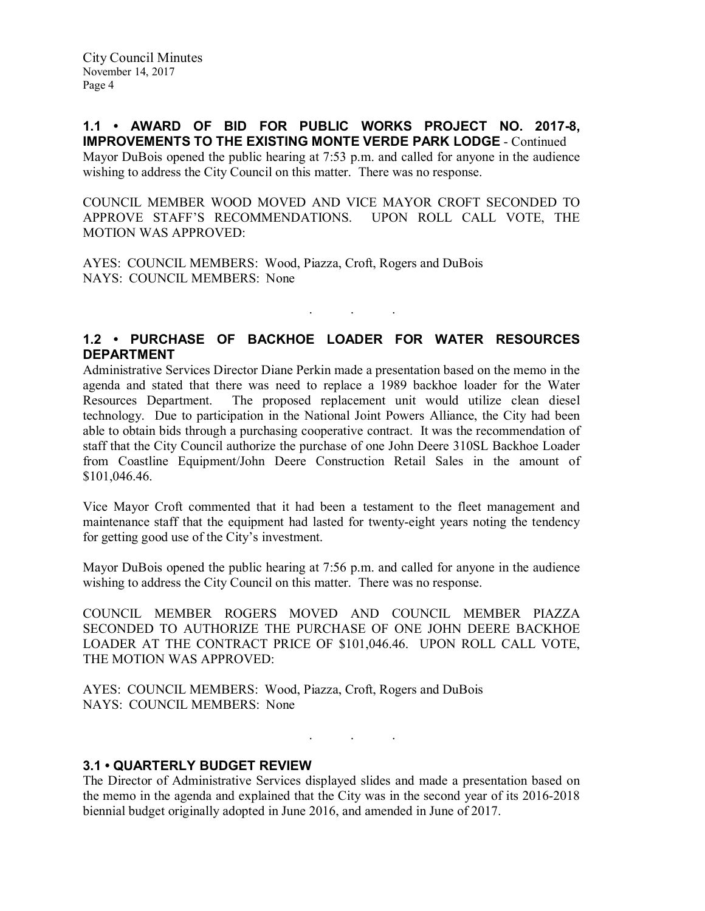1.1 • AWARD OF BID FOR PUBLIC WORKS PROJECT NO. 2017-8, IMPROVEMENTS TO THE EXISTING MONTE VERDE PARK LODGE - Continued Mayor DuBois opened the public hearing at 7:53 p.m. and called for anyone in the audience wishing to address the City Council on this matter. There was no response.

COUNCIL MEMBER WOOD MOVED AND VICE MAYOR CROFT SECONDED TO APPROVE STAFF'S RECOMMENDATIONS. UPON ROLL CALL VOTE, THE MOTION WAS APPROVED:

AYES: COUNCIL MEMBERS: Wood, Piazza, Croft, Rogers and DuBois NAYS: COUNCIL MEMBERS: None

# 1.2 • PURCHASE OF BACKHOE LOADER FOR WATER RESOURCES DEPARTMENT

. . .

Administrative Services Director Diane Perkin made a presentation based on the memo in the agenda and stated that there was need to replace a 1989 backhoe loader for the Water Resources Department. The proposed replacement unit would utilize clean diesel technology. Due to participation in the National Joint Powers Alliance, the City had been able to obtain bids through a purchasing cooperative contract. It was the recommendation of staff that the City Council authorize the purchase of one John Deere 310SL Backhoe Loader from Coastline Equipment/John Deere Construction Retail Sales in the amount of \$101,046.46.

Vice Mayor Croft commented that it had been a testament to the fleet management and maintenance staff that the equipment had lasted for twenty-eight years noting the tendency for getting good use of the City's investment.

Mayor DuBois opened the public hearing at 7:56 p.m. and called for anyone in the audience wishing to address the City Council on this matter. There was no response.

COUNCIL MEMBER ROGERS MOVED AND COUNCIL MEMBER PIAZZA SECONDED TO AUTHORIZE THE PURCHASE OF ONE JOHN DEERE BACKHOE LOADER AT THE CONTRACT PRICE OF \$101,046.46. UPON ROLL CALL VOTE, THE MOTION WAS APPROVED:

AYES: COUNCIL MEMBERS: Wood, Piazza, Croft, Rogers and DuBois NAYS: COUNCIL MEMBERS: None

. . .

## 3.1 • QUARTERLY BUDGET REVIEW

The Director of Administrative Services displayed slides and made a presentation based on the memo in the agenda and explained that the City was in the second year of its 2016-2018 biennial budget originally adopted in June 2016, and amended in June of 2017.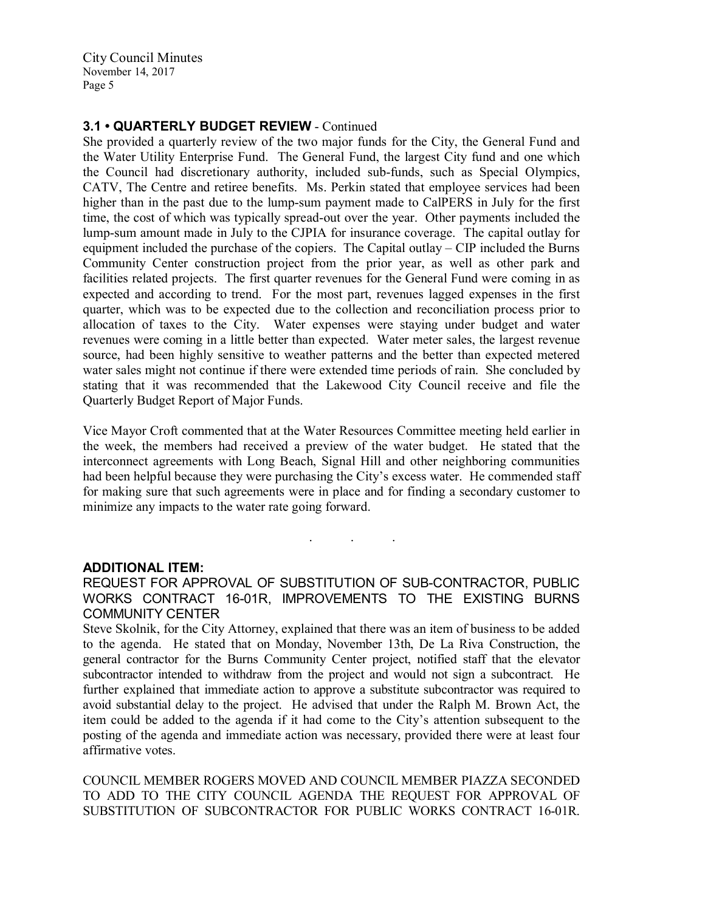## 3.1 • QUARTERLY BUDGET REVIEW - Continued

She provided a quarterly review of the two major funds for the City, the General Fund and the Water Utility Enterprise Fund. The General Fund, the largest City fund and one which the Council had discretionary authority, included sub-funds, such as Special Olympics, CATV, The Centre and retiree benefits. Ms. Perkin stated that employee services had been higher than in the past due to the lump-sum payment made to CalPERS in July for the first time, the cost of which was typically spread-out over the year. Other payments included the lump-sum amount made in July to the CJPIA for insurance coverage. The capital outlay for equipment included the purchase of the copiers. The Capital outlay – CIP included the Burns Community Center construction project from the prior year, as well as other park and facilities related projects. The first quarter revenues for the General Fund were coming in as expected and according to trend. For the most part, revenues lagged expenses in the first quarter, which was to be expected due to the collection and reconciliation process prior to allocation of taxes to the City. Water expenses were staying under budget and water revenues were coming in a little better than expected. Water meter sales, the largest revenue source, had been highly sensitive to weather patterns and the better than expected metered water sales might not continue if there were extended time periods of rain. She concluded by stating that it was recommended that the Lakewood City Council receive and file the Quarterly Budget Report of Major Funds.

Vice Mayor Croft commented that at the Water Resources Committee meeting held earlier in the week, the members had received a preview of the water budget. He stated that the interconnect agreements with Long Beach, Signal Hill and other neighboring communities had been helpful because they were purchasing the City's excess water. He commended staff for making sure that such agreements were in place and for finding a secondary customer to minimize any impacts to the water rate going forward.

#### ADDITIONAL ITEM:

REQUEST FOR APPROVAL OF SUBSTITUTION OF SUB-CONTRACTOR, PUBLIC WORKS CONTRACT 16-01R, IMPROVEMENTS TO THE EXISTING BURNS COMMUNITY CENTER

. . .

Steve Skolnik, for the City Attorney, explained that there was an item of business to be added to the agenda. He stated that on Monday, November 13th, De La Riva Construction, the general contractor for the Burns Community Center project, notified staff that the elevator subcontractor intended to withdraw from the project and would not sign a subcontract. He further explained that immediate action to approve a substitute subcontractor was required to avoid substantial delay to the project. He advised that under the Ralph M. Brown Act, the item could be added to the agenda if it had come to the City's attention subsequent to the posting of the agenda and immediate action was necessary, provided there were at least four affirmative votes.

COUNCIL MEMBER ROGERS MOVED AND COUNCIL MEMBER PIAZZA SECONDED TO ADD TO THE CITY COUNCIL AGENDA THE REQUEST FOR APPROVAL OF SUBSTITUTION OF SUBCONTRACTOR FOR PUBLIC WORKS CONTRACT 16-01R.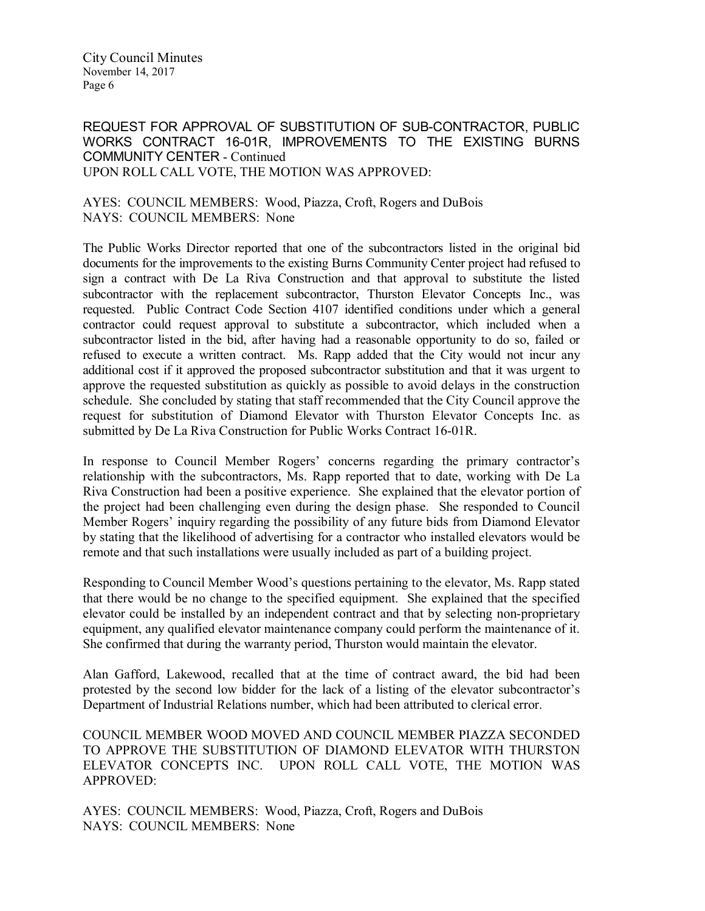REQUEST FOR APPROVAL OF SUBSTITUTION OF SUB-CONTRACTOR, PUBLIC WORKS CONTRACT 16-01R, IMPROVEMENTS TO THE EXISTING BURNS COMMUNITY CENTER - Continued UPON ROLL CALL VOTE, THE MOTION WAS APPROVED:

## AYES: COUNCIL MEMBERS: Wood, Piazza, Croft, Rogers and DuBois NAYS: COUNCIL MEMBERS: None

The Public Works Director reported that one of the subcontractors listed in the original bid documents for the improvements to the existing Burns Community Center project had refused to sign a contract with De La Riva Construction and that approval to substitute the listed subcontractor with the replacement subcontractor, Thurston Elevator Concepts Inc., was requested. Public Contract Code Section 4107 identified conditions under which a general contractor could request approval to substitute a subcontractor, which included when a subcontractor listed in the bid, after having had a reasonable opportunity to do so, failed or refused to execute a written contract. Ms. Rapp added that the City would not incur any additional cost if it approved the proposed subcontractor substitution and that it was urgent to approve the requested substitution as quickly as possible to avoid delays in the construction schedule. She concluded by stating that staff recommended that the City Council approve the request for substitution of Diamond Elevator with Thurston Elevator Concepts Inc. as submitted by De La Riva Construction for Public Works Contract 16-01R.

In response to Council Member Rogers' concerns regarding the primary contractor's relationship with the subcontractors, Ms. Rapp reported that to date, working with De La Riva Construction had been a positive experience. She explained that the elevator portion of the project had been challenging even during the design phase. She responded to Council Member Rogers' inquiry regarding the possibility of any future bids from Diamond Elevator by stating that the likelihood of advertising for a contractor who installed elevators would be remote and that such installations were usually included as part of a building project.

Responding to Council Member Wood's questions pertaining to the elevator, Ms. Rapp stated that there would be no change to the specified equipment. She explained that the specified elevator could be installed by an independent contract and that by selecting non-proprietary equipment, any qualified elevator maintenance company could perform the maintenance of it. She confirmed that during the warranty period, Thurston would maintain the elevator.

Alan Gafford, Lakewood, recalled that at the time of contract award, the bid had been protested by the second low bidder for the lack of a listing of the elevator subcontractor's Department of Industrial Relations number, which had been attributed to clerical error.

COUNCIL MEMBER WOOD MOVED AND COUNCIL MEMBER PIAZZA SECONDED TO APPROVE THE SUBSTITUTION OF DIAMOND ELEVATOR WITH THURSTON ELEVATOR CONCEPTS INC. UPON ROLL CALL VOTE, THE MOTION WAS APPROVED:

AYES: COUNCIL MEMBERS: Wood, Piazza, Croft, Rogers and DuBois NAYS: COUNCIL MEMBERS: None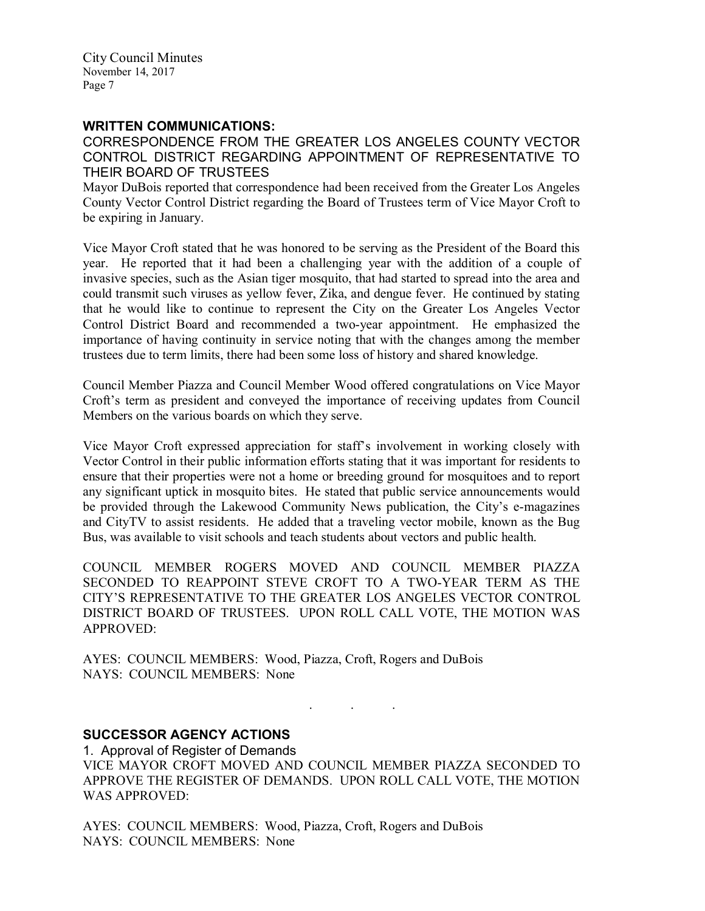#### WRITTEN COMMUNICATIONS:

CORRESPONDENCE FROM THE GREATER LOS ANGELES COUNTY VECTOR CONTROL DISTRICT REGARDING APPOINTMENT OF REPRESENTATIVE TO THEIR BOARD OF TRUSTEES

Mayor DuBois reported that correspondence had been received from the Greater Los Angeles County Vector Control District regarding the Board of Trustees term of Vice Mayor Croft to be expiring in January.

Vice Mayor Croft stated that he was honored to be serving as the President of the Board this year. He reported that it had been a challenging year with the addition of a couple of invasive species, such as the Asian tiger mosquito, that had started to spread into the area and could transmit such viruses as yellow fever, Zika, and dengue fever. He continued by stating that he would like to continue to represent the City on the Greater Los Angeles Vector Control District Board and recommended a two-year appointment. He emphasized the importance of having continuity in service noting that with the changes among the member trustees due to term limits, there had been some loss of history and shared knowledge.

Council Member Piazza and Council Member Wood offered congratulations on Vice Mayor Croft's term as president and conveyed the importance of receiving updates from Council Members on the various boards on which they serve.

Vice Mayor Croft expressed appreciation for staff's involvement in working closely with Vector Control in their public information efforts stating that it was important for residents to ensure that their properties were not a home or breeding ground for mosquitoes and to report any significant uptick in mosquito bites. He stated that public service announcements would be provided through the Lakewood Community News publication, the City's e-magazines and CityTV to assist residents. He added that a traveling vector mobile, known as the Bug Bus, was available to visit schools and teach students about vectors and public health.

COUNCIL MEMBER ROGERS MOVED AND COUNCIL MEMBER PIAZZA SECONDED TO REAPPOINT STEVE CROFT TO A TWO-YEAR TERM AS THE CITY'S REPRESENTATIVE TO THE GREATER LOS ANGELES VECTOR CONTROL DISTRICT BOARD OF TRUSTEES. UPON ROLL CALL VOTE, THE MOTION WAS APPROVED:

AYES: COUNCIL MEMBERS: Wood, Piazza, Croft, Rogers and DuBois NAYS: COUNCIL MEMBERS: None

## SUCCESSOR AGENCY ACTIONS

1. Approval of Register of Demands VICE MAYOR CROFT MOVED AND COUNCIL MEMBER PIAZZA SECONDED TO APPROVE THE REGISTER OF DEMANDS. UPON ROLL CALL VOTE, THE MOTION WAS APPROVED:

. . .

AYES: COUNCIL MEMBERS: Wood, Piazza, Croft, Rogers and DuBois NAYS: COUNCIL MEMBERS: None